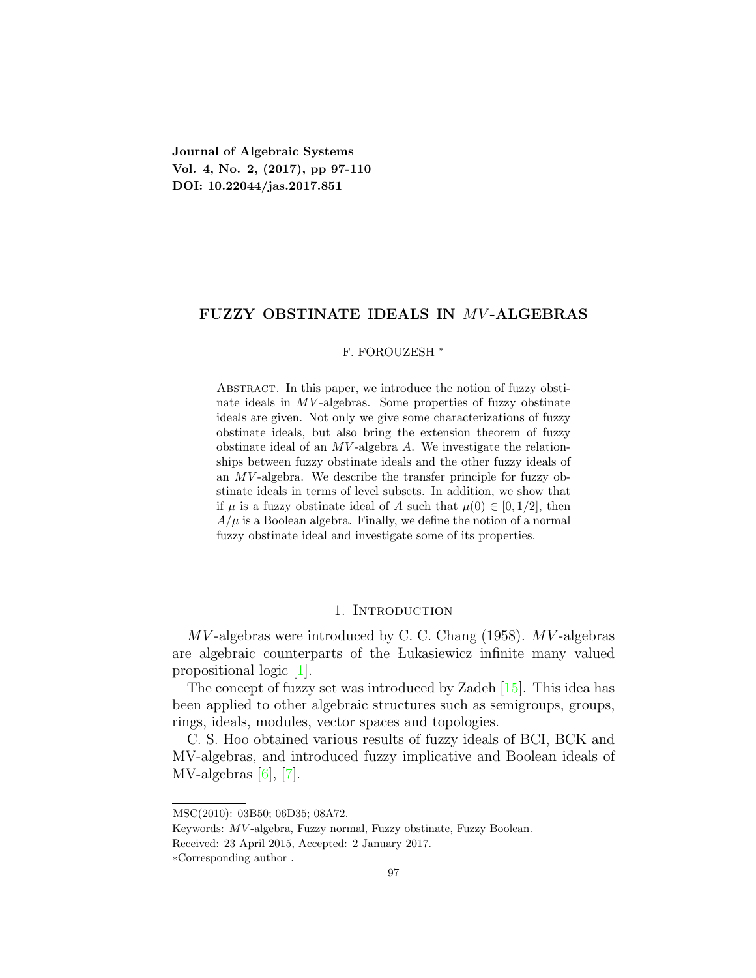**Journal of Algebraic Systems Vol. 4, No. 2, (2017), pp 97-110 DOI: 10.22044/jas.2017.851**

## **FUZZY OBSTINATE IDEALS IN** *MV* **-ALGEBRAS**

## F. FOROUZESH *<sup>∗</sup>*

ABSTRACT. In this paper, we introduce the notion of fuzzy obstinate ideals in *MV*-algebras. Some properties of fuzzy obstinate ideals are given. Not only we give some characterizations of fuzzy obstinate ideals, but also bring the extension theorem of fuzzy obstinate ideal of an *MV* -algebra *A*. We investigate the relationships between fuzzy obstinate ideals and the other fuzzy ideals of an *MV* -algebra. We describe the transfer principle for fuzzy obstinate ideals in terms of level subsets. In addition, we show that if  $\mu$  is a fuzzy obstinate ideal of *A* such that  $\mu(0) \in [0, 1/2]$ , then  $A/\mu$  is a Boolean algebra. Finally, we define the notion of a normal fuzzy obstinate ideal and investigate some of its properties.

## 1. INTRODUCTION

*MV* -algebras were introduced by C. C. Chang (1958). *MV* -algebras are algebraic counterparts of the Lukasiewicz infinite many valued propositional logic[[1\]](#page-13-0).

The concept of fuzzy set was introduced by Zadeh [\[15](#page-13-1)]. This idea has been applied to other algebraic structures such as semigroups, groups, rings, ideals, modules, vector spaces and topologies.

C. S. Hoo obtained various results of fuzzy ideals of BCI, BCK and MV-algebras, and introduced fuzzy implicative and Boolean ideals of MV-algebras[[6\]](#page-13-2), [\[7](#page-13-3)].

MSC(2010): 03B50; 06D35; 08A72.

Keywords: *MV* -algebra, Fuzzy normal, Fuzzy obstinate, Fuzzy Boolean.

Received: 23 April 2015, Accepted: 2 January 2017.

*<sup>∗</sup>*Corresponding author .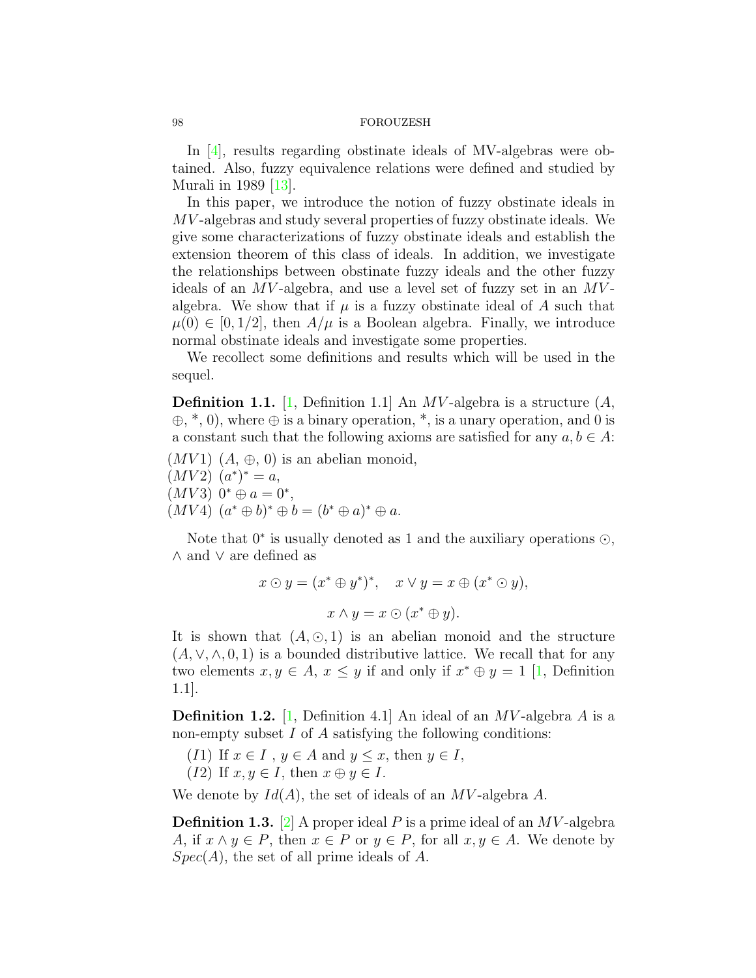In[[4\]](#page-13-4), results regarding obstinate ideals of MV-algebras were obtained. Also, fuzzy equivalence relations were defined and studied by Murali in 1989[[13](#page-13-5)].

In this paper, we introduce the notion of fuzzy obstinate ideals in *MV* -algebras and study several properties of fuzzy obstinate ideals. We give some characterizations of fuzzy obstinate ideals and establish the extension theorem of this class of ideals. In addition, we investigate the relationships between obstinate fuzzy ideals and the other fuzzy ideals of an *MV* -algebra, and use a level set of fuzzy set in an *MV* algebra. We show that if  $\mu$  is a fuzzy obstinate ideal of  $\Lambda$  such that  $\mu(0) \in [0, 1/2]$ , then  $A/\mu$  is a Boolean algebra. Finally, we introduce normal obstinate ideals and investigate some properties.

We recollect some definitions and results which will be used in the sequel.

**Definition 1.1.** [[1,](#page-13-0) Definition 1.1] An *MV* -algebra is a structure (*A*, *⊕*, \*, 0), where *⊕* is a binary operation, \*, is a unary operation, and 0 is a constant such that the following axioms are satisfied for any  $a, b \in A$ :

- $(MV1)$   $(A, \oplus, 0)$  is an abelian monoid,
- $(MV2)$   $(a^*)^* = a$ ,
- $(MV3)$   $0^* \oplus a = 0^*$ ,
- $(MV4)$   $(a^* \oplus b)^* \oplus b = (b^* \oplus a)^* \oplus a$ .

Note that 0*<sup>∗</sup>* is usually denoted as 1 and the auxiliary operations *⊙*, *∧* and *∨* are defined as

$$
x \odot y = (x^* \oplus y^*)^*, \quad x \vee y = x \oplus (x^* \odot y),
$$

$$
x \wedge y = x \odot (x^* \oplus y).
$$

It is shown that  $(A, \odot, 1)$  is an abelian monoid and the structure  $(A, \vee, \wedge, 0, 1)$  is a bounded distributive lattice. We recall that for any twoelements  $x, y \in A$ ,  $x \leq y$  if and only if  $x^* \oplus y = 1$  [[1,](#page-13-0) Definition 1.1].

**Definition 1.2.** [[1,](#page-13-0) Definition 4.1] An ideal of an *MV* -algebra *A* is a non-empty subset *I* of *A* satisfying the following conditions:

- (*I*1) If  $x \in I$ ,  $y \in A$  and  $y \leq x$ , then  $y \in I$ ,
- (*I*2) If  $x, y \in I$ , then  $x \oplus y \in I$ .

We denote by *Id*(*A*), the set of ideals of an *MV* -algebra *A*.

**Definition 1.3.** [[2](#page-13-6)] A proper ideal *P* is a prime ideal of an *MV* -algebra *A*, if  $x \wedge y \in P$ , then  $x \in P$  or  $y \in P$ , for all  $x, y \in A$ . We denote by *Spec*(*A*), the set of all prime ideals of *A*.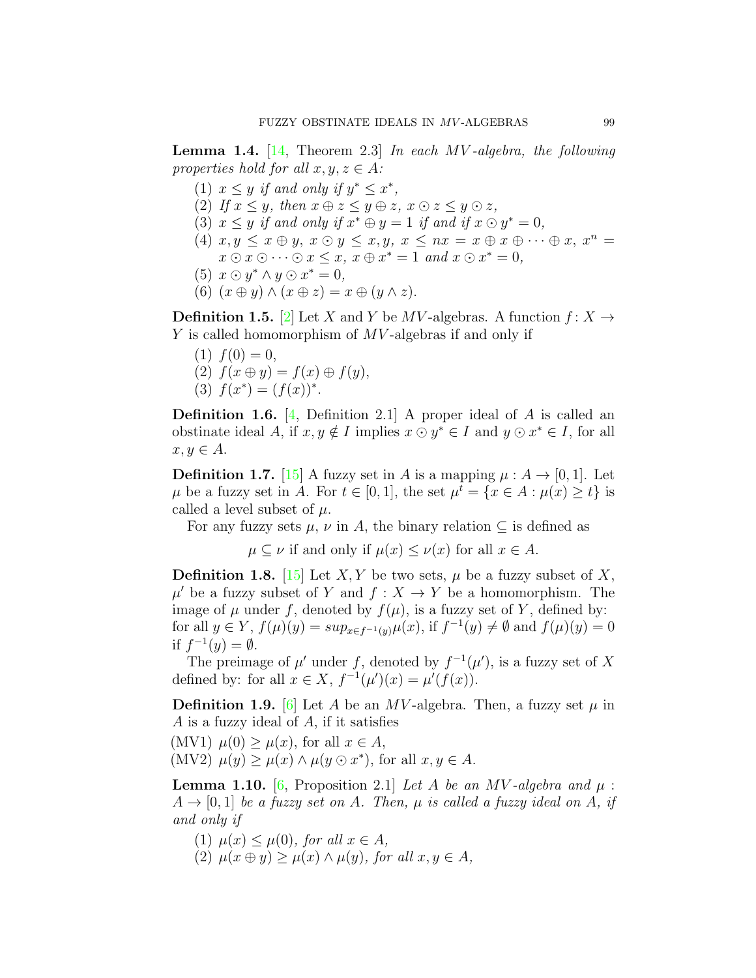<span id="page-2-0"></span>**Lemma 1.4.** [\[14,](#page-13-7) Theorem 2.3] *In each MV -algebra, the following properties hold for all*  $x, y, z \in A$ *:* 

- (1)  $x \leq y$  *if and only if*  $y^* \leq x^*$ ,
- (2) *If*  $x \leq y$ *, then*  $x \oplus z \leq y \oplus z$ *,*  $x \odot z \leq y \odot z$ *,*
- (3)  $x \leq y$  *if and only if*  $x^* \oplus y = 1$  *if and if*  $x \odot y^* = 0$ *,*
- (4)  $x, y \leq x \oplus y$ ,  $x \odot y \leq x, y$ ,  $x \leq nx = x \oplus x \oplus \cdots \oplus x$ ,  $x^n =$  $x \odot x \odot \cdots \odot x \leq x$ ,  $x \oplus x^* = 1$  *and*  $x \odot x^* = 0$ ,
- $(5)$   $x \odot y^* \wedge y \odot x^* = 0$ ,
- (6)  $(x \oplus y) \wedge (x \oplus z) = x \oplus (y \wedge z)$ .

**Definition 1.5.** [[2\]](#page-13-6) Let *X* and *Y* be *MV*-algebras. A function  $f: X \rightarrow Y$ *Y* is called homomorphism of *MV* -algebras if and only if

- $(1) f(0) = 0,$ (2)  $f(x ⊕ y) = f(x) ⊕ f(y),$
- (3)  $f(x^*) = (f(x))^*$ .

**Definition 1.6.** [[4](#page-13-4), Definition 2.1] A proper ideal of *A* is called an obstinate ideal *A*, if  $x, y \notin I$  implies  $x \odot y^* \in I$  and  $y \odot x^* \in I$ , for all  $x, y \in A$ .

**Definition 1.7.** [[15\]](#page-13-1) A fuzzy set in *A* is a mapping  $\mu : A \rightarrow [0, 1]$ . Let  $\mu$  be a fuzzy set in *A*. For  $t \in [0, 1]$ , the set  $\mu^t = \{x \in A : \mu(x) \ge t\}$  is called a level subset of  $\mu$ .

For any fuzzy sets  $\mu$ ,  $\nu$  in A, the binary relation  $\subseteq$  is defined as

 $\mu \subseteq \nu$  if and only if  $\mu(x) \leq \nu(x)$  for all  $x \in A$ .

**Definition 1.8.** [[15\]](#page-13-1) Let *X,Y* be two sets,  $\mu$  be a fuzzy subset of *X*,  $\mu'$  be a fuzzy subset of *Y* and  $f: X \to Y$  be a homomorphism. The image of  $\mu$  under  $f$ , denoted by  $f(\mu)$ , is a fuzzy set of  $Y$ , defined by: for all  $y \in Y$ ,  $f(\mu)(y) = \sup_{x \in f^{-1}(y)} \mu(x)$ , if  $f^{-1}(y) \neq \emptyset$  and  $f(\mu)(y) = 0$ if  $f^{-1}(y) = ∅$ .

The preimage of  $\mu'$  under f, denoted by  $f^{-1}(\mu')$ , is a fuzzy set of X defined by: for all  $x \in X$ ,  $f^{-1}(\mu')(x) = \mu'(f(x))$ .

<span id="page-2-2"></span>**Definition 1.9.** [[6\]](#page-13-2) Let *A* be an *MV*-algebra. Then, a fuzzy set  $\mu$  in *A* is a fuzzy ideal of *A*, if it satisfies

 $(MV1)$   $\mu(0) \geq \mu(x)$ , for all  $x \in A$ ,  $(MV2)$   $\mu(y) \geq \mu(x) \wedge \mu(y \odot x^*)$ , for all  $x, y \in A$ .

<span id="page-2-1"></span>**Lemma 1.10.** [\[6](#page-13-2), Proposition 2.1] *Let A be an MV -algebra and*  $\mu$  :  $A \rightarrow [0, 1]$  *be a fuzzy set on A. Then,*  $\mu$  *is called a fuzzy ideal on A, if and only if*

- $\mu(x) \leq \mu(0)$ *, for all*  $x \in A$ *,*
- $\mu(x \oplus y) \geq \mu(x) \wedge \mu(y)$ , for all  $x, y \in A$ ,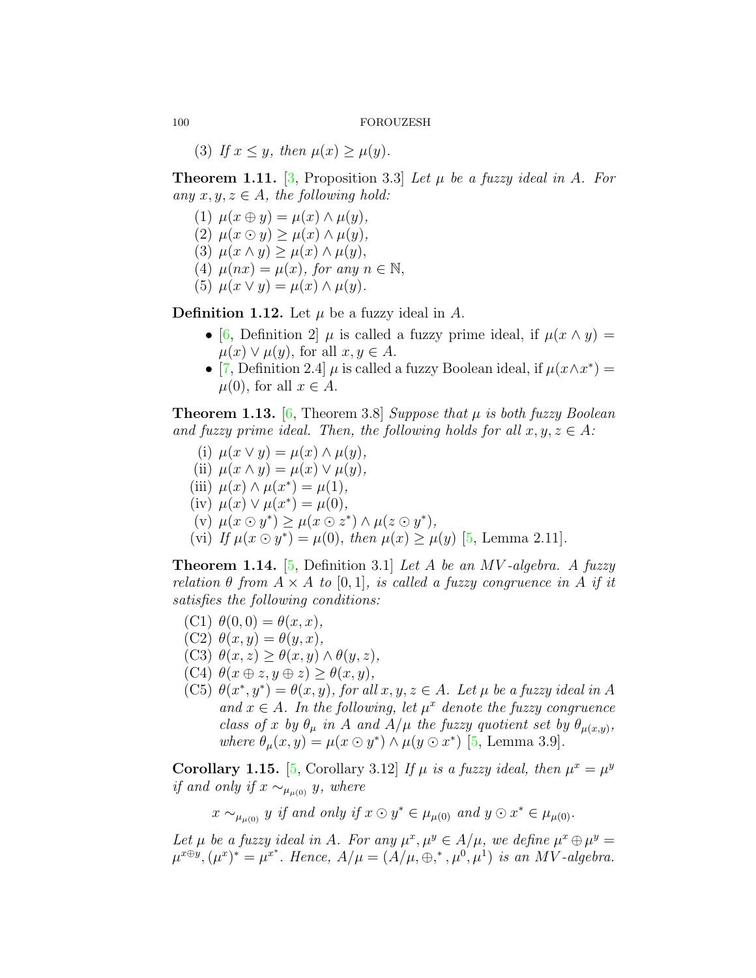(3) If  $x \leq y$ , then  $\mu(x) \geq \mu(y)$ .

<span id="page-3-0"></span>**Theorem 1.11.** [[3,](#page-13-8) Proposition 3.3] *Let µ be a fuzzy ideal in A. For any*  $x, y, z \in A$ *, the following hold:* 

- $(1)$   $\mu(x \oplus y) = \mu(x) \wedge \mu(y),$
- $(2)$   $\mu(x \odot y) \geq \mu(x) \wedge \mu(y)$ ,
- (3) *µ*(*x ∧ y*) *≥ µ*(*x*) *∧ µ*(*y*)*,*
- (4)  $\mu(nx) = \mu(x)$ , for any  $n \in \mathbb{N}$ ,
- (5)  $\mu(x \vee y) = \mu(x) \wedge \mu(y)$ .

**Definition 1.12.** Let  $\mu$  be a fuzzy ideal in  $A$ .

- [\[6](#page-13-2), Definition 2]  $\mu$  is called a fuzzy prime ideal, if  $\mu(x \wedge y) =$  $\mu(x) \vee \mu(y)$ , for all  $x, y \in A$ .
- [\[7](#page-13-3), Definition 2.4]  $\mu$  is called a fuzzy Boolean ideal, if  $\mu(x \wedge x^*)$  =  $\mu(0)$ , for all  $x \in A$ .

<span id="page-3-1"></span>**Theorem 1.13.** [\[6](#page-13-2), Theorem 3.8] *Suppose that µ is both fuzzy Boolean and fuzzy prime ideal. Then, the following holds for all*  $x, y, z \in A$ *:* 

- $\mu(x \vee y) = \mu(x) \wedge \mu(y),$
- $\mu(x \wedge y) = \mu(x) \vee \mu(y),$
- $\mu$ (iii)  $\mu$ (*x*)  $\wedge$   $\mu$ (*x*<sup>\*</sup>) =  $\mu$ (1)*,*
- $(\text{iv}) \mu(x) \vee \mu(x^*) = \mu(0),$
- $(\mathbf{v}) \mu(x \odot y^*) \geq \mu(x \odot z^*) \wedge \mu(z \odot y^*),$
- (vi) If  $\mu(x \odot y^*) = \mu(0)$ , then  $\mu(x) \ge \mu(y)$  [\[5](#page-13-9), Lemma 2.11].

**Theorem 1.14.** [[5,](#page-13-9) Definition 3.1] *Let A be an MV -algebra. A fuzzy relation*  $\theta$  *from*  $A \times A$  *to*  $[0,1]$ *, is called a fuzzy congruence in*  $A$  *if it satisfies the following conditions:*

- (C1) *θ*(0*,* 0) = *θ*(*x, x*)*,*
- $(C2)$   $\theta(x, y) = \theta(y, x)$ ,
- (C3) *θ*(*x, z*) *≥ θ*(*x, y*) *∧ θ*(*y, z*)*,*
- $(C4)$   $\theta(x \oplus z, y \oplus z) > \theta(x, y)$ ,
- (C5)  $\theta(x^*, y^*) = \theta(x, y)$ , for all  $x, y, z \in A$ . Let  $\mu$  be a fuzzy ideal in A *and*  $x \in A$ *. In the following, let*  $\mu^x$  *denote the fuzzy congruence class of x by*  $\theta_{\mu}$  *in A and*  $A/\mu$  *the fuzzy quotient set by*  $\theta_{\mu(x,y)}$ , *where*  $\theta_{\mu}(x, y) = \mu(x \odot y^*) \wedge \mu(y \odot x^*)$  [\[5](#page-13-9), Lemma 3.9].

**Corollary 1.15.** [[5,](#page-13-9) Corollary 3.12] *If*  $\mu$  *is a fuzzy ideal, then*  $\mu^x = \mu^y$ *if and only if*  $x \sim_{\mu_{\mu(0)}} y$ *, where* 

*x* ∼*µ*<sub>*µ*(0)</sub> *y if and only if x* ⊙ *y*<sup>\*</sup> ∈ *µ*<sub>*µ*</sub>(0)</sub> *and y* ⊙ *x*<sup>\*</sup> ∈ *µ*<sub>*µ*(0)</sub>.

*Let*  $\mu$  *be a fuzzy ideal in A. For any*  $\mu^x, \mu^y \in A/\mu$ *, we define*  $\mu^x \oplus \mu^y =$  $\mu^{x \oplus y}, (\mu^x)^* = \mu^{x^*}.$  Hence,  $A/\mu = (A/\mu, \oplus, ^*, \mu^0, \mu^1)$  is an MV-algebra.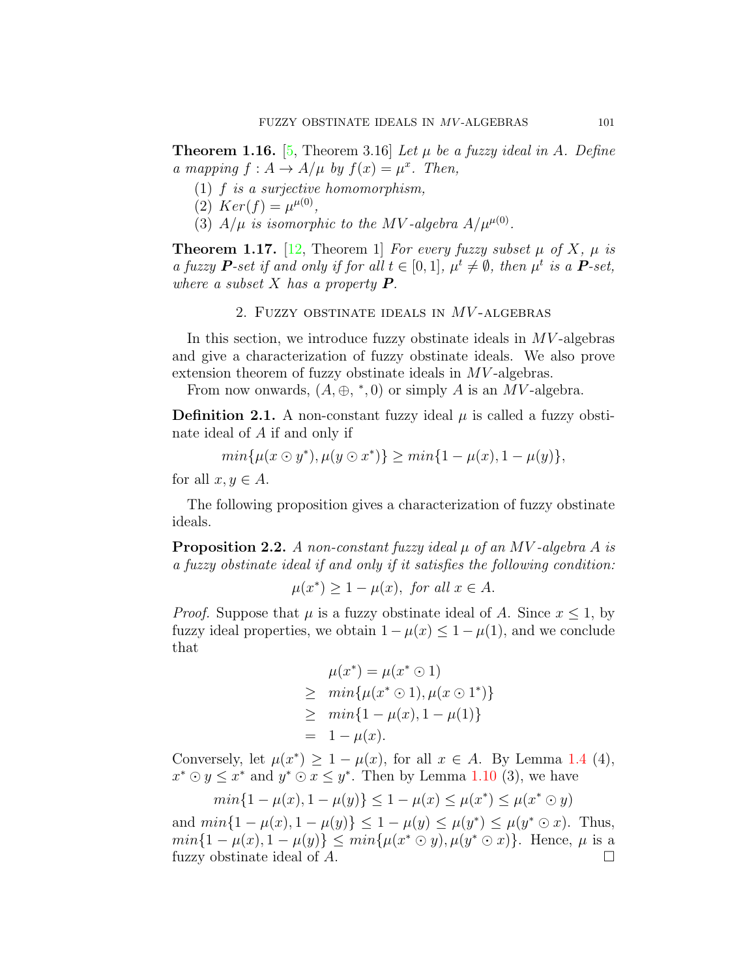<span id="page-4-0"></span>**Theorem 1.16.** [[5,](#page-13-9) Theorem 3.16] *Let µ be a fuzzy ideal in A. Define a* mapping  $f : A \to A/\mu$  by  $f(x) = \mu^x$ . Then,

- (1) *f is a surjective homomorphism,*
- (2)  $Ker(f) = \mu^{\mu(0)},$
- (3)  $A/\mu$  *is isomorphic to the MV-algebra*  $A/\mu^{\mu(0)}$ .

**Theorem 1.17.** [[12,](#page-13-10) Theorem 1] *For every fuzzy subset*  $\mu$  *of*  $X$ *,*  $\mu$  *is a fuzzy*  $P$ *-set if and only if for all*  $t \in [0,1]$ ,  $\mu^t \neq \emptyset$ , then  $\mu^t$  is a  $P$ *-set*, *where a subset X has a property P.*

# 2. Fuzzy obstinate ideals in *MV* -algebras

In this section, we introduce fuzzy obstinate ideals in *MV* -algebras and give a characterization of fuzzy obstinate ideals. We also prove extension theorem of fuzzy obstinate ideals in  $MV$ -algebras.

From now onwards,  $(A, \oplus, *, 0)$  or simply A is an MV-algebra.

**Definition 2.1.** A non-constant fuzzy ideal  $\mu$  is called a fuzzy obstinate ideal of *A* if and only if

$$
min\{\mu(x \odot y^*), \mu(y \odot x^*)\} \geq min\{1 - \mu(x), 1 - \mu(y)\},\
$$

for all  $x, y \in A$ .

The following proposition gives a characterization of fuzzy obstinate ideals.

<span id="page-4-1"></span>**Proposition 2.2.** *A non-constant fuzzy ideal µ of an MV -algebra A is a fuzzy obstinate ideal if and only if it satisfies the following condition:*

$$
\mu(x^*) \ge 1 - \mu(x), \text{ for all } x \in A.
$$

*Proof.* Suppose that  $\mu$  is a fuzzy obstinate ideal of *A*. Since  $x \leq 1$ , by fuzzy ideal properties, we obtain  $1 - \mu(x) \leq 1 - \mu(1)$ , and we conclude that

$$
\mu(x^*) = \mu(x^* \odot 1) \n\geq \min\{\mu(x^* \odot 1), \mu(x \odot 1^*)\} \n\geq \min\{1 - \mu(x), 1 - \mu(1)\} \n= 1 - \mu(x).
$$

Conversely, let  $\mu(x^*) \geq 1 - \mu(x)$ , for all  $x \in A$ . By Lemma [1.4](#page-2-0) (4),  $x^* \odot y \leq x^*$  and  $y^* \odot x \leq y^*$ . Then by Lemma [1.10](#page-2-1) (3), we have

$$
min{1 - \mu(x), 1 - \mu(y)} \le 1 - \mu(x) \le \mu(x^*) \le \mu(x^* \odot y)
$$

and  $min\{1 - \mu(x), 1 - \mu(y)\} \le 1 - \mu(y) \le \mu(y^*) \le \mu(y^* \odot x)$ . Thus,  $min\{1 - \mu(x), 1 - \mu(y)\} \leq min\{\mu(x^* \odot y), \mu(y^* \odot x)\}.$  Hence,  $\mu$  is a fuzzy obstinate ideal of *A*. □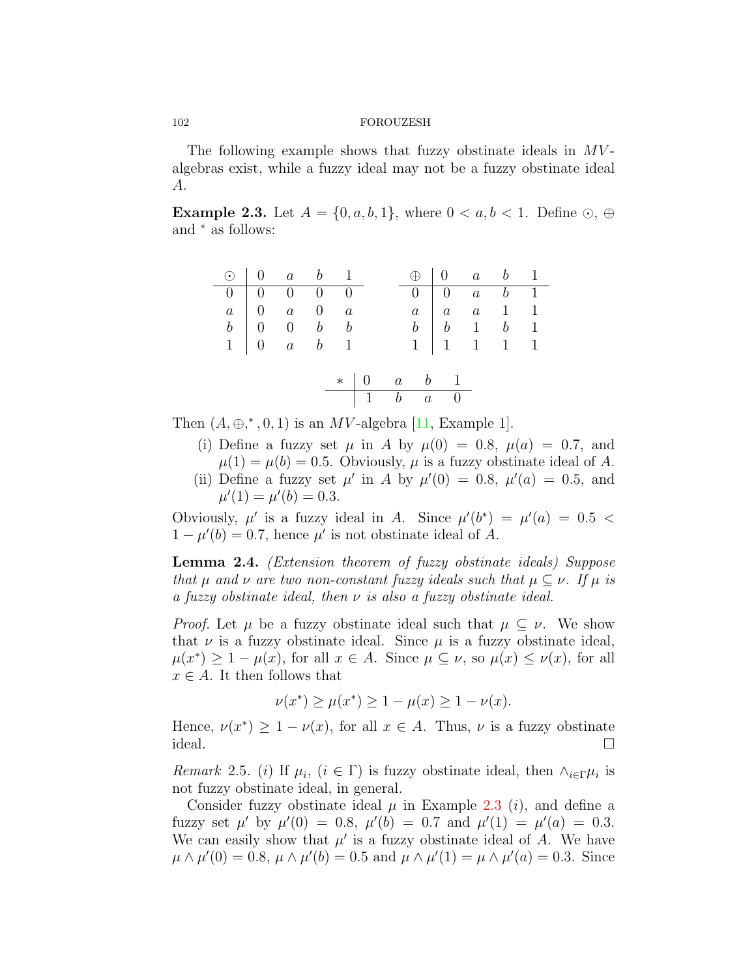The following example shows that fuzzy obstinate ideals in *MV* algebras exist, while a fuzzy ideal may not be a fuzzy obstinate ideal *A*.

<span id="page-5-0"></span>**Example 2.3.** Let  $A = \{0, a, b, 1\}$ , where  $0 < a, b < 1$ . Define  $\odot$ ,  $\oplus$ and *<sup>∗</sup>* as follows:

|  | $\odot$   0 a b 1                  |  |  |                   | $\bigoplus$ 0 a b 1                                                                                                                             |  |
|--|------------------------------------|--|--|-------------------|-------------------------------------------------------------------------------------------------------------------------------------------------|--|
|  | $0 \mid 0 \quad 0 \quad 0 \quad 0$ |  |  |                   | $\begin{array}{ c c c c c } \hline 0 & 0 & a & b & 1 \ \hline \end{array}$                                                                      |  |
|  |                                    |  |  |                   |                                                                                                                                                 |  |
|  |                                    |  |  |                   |                                                                                                                                                 |  |
|  |                                    |  |  |                   | $\begin{array}{c cccc} a & 0 & a & 0 & a & a & a & 1 & 1 \\ b & 0 & 0 & b & b & b & b & b & 1 \\ 1 & 0 & a & b & 1 & 1 & 1 & 1 & 1 \end{array}$ |  |
|  |                                    |  |  |                   |                                                                                                                                                 |  |
|  |                                    |  |  | $*$ 0 a b 1       |                                                                                                                                                 |  |
|  |                                    |  |  | $\boxed{1}$ b a 0 |                                                                                                                                                 |  |

Then $(A, \oplus, ^{*}, 0, 1)$  is an *MV*-algebra [[11](#page-13-11), Example 1].

- (i) Define a fuzzy set  $\mu$  in *A* by  $\mu(0) = 0.8$ ,  $\mu(a) = 0.7$ , and  $\mu(1) = \mu(b) = 0.5$ . Obviously,  $\mu$  is a fuzzy obstinate ideal of A.
- (ii) Define a fuzzy set  $\mu'$  in *A* by  $\mu'(0) = 0.8$ ,  $\mu'(a) = 0.5$ , and  $\mu'(1) = \mu'(b) = 0.3.$

Obviously,  $\mu'$  is a fuzzy ideal in *A*. Since  $\mu'(b^*) = \mu'(a) = 0.5$  $1 - \mu'(b) = 0.7$ , hence  $\mu'$  is not obstinate ideal of *A*.

<span id="page-5-1"></span>**Lemma 2.4.** *(Extension theorem of fuzzy obstinate ideals) Suppose that*  $\mu$  *and*  $\nu$  *are two non-constant fuzzy ideals such that*  $\mu \subseteq \nu$ *. If*  $\mu$  *is a fuzzy obstinate ideal, then ν is also a fuzzy obstinate ideal.*

*Proof.* Let  $\mu$  be a fuzzy obstinate ideal such that  $\mu \subseteq \nu$ . We show that  $\nu$  is a fuzzy obstinate ideal. Since  $\mu$  is a fuzzy obstinate ideal,  $\mu(x^*) \geq 1 - \mu(x)$ , for all  $x \in A$ . Since  $\mu \subseteq \nu$ , so  $\mu(x) \leq \nu(x)$ , for all  $x \in A$ . It then follows that

$$
\nu(x^*) \ge \mu(x^*) \ge 1 - \mu(x) \ge 1 - \nu(x).
$$

Hence,  $\nu(x^*) \geq 1 - \nu(x)$ , for all  $x \in A$ . Thus,  $\nu$  is a fuzzy obstinate ideal.  $\Box$ 

*Remark* 2.5*.* (*i*) If  $\mu_i$ , (*i*  $\in \Gamma$ ) is fuzzy obstinate ideal, then  $\wedge_{i \in \Gamma} \mu_i$  is not fuzzy obstinate ideal, in general.

Consider fuzzy obstinate ideal  $\mu$  in Example [2.3](#page-5-0) (*i*), and define a fuzzy set  $\mu'$  by  $\mu'(0) = 0.8$ ,  $\mu'(b) = 0.7$  and  $\mu'(1) = \mu'(a) = 0.3$ . We can easily show that  $\mu'$  is a fuzzy obstinate ideal of A. We have  $\mu \wedge \mu'(0) = 0.8, \mu \wedge \mu'(b) = 0.5$  and  $\mu \wedge \mu'(1) = \mu \wedge \mu'(a) = 0.3$ . Since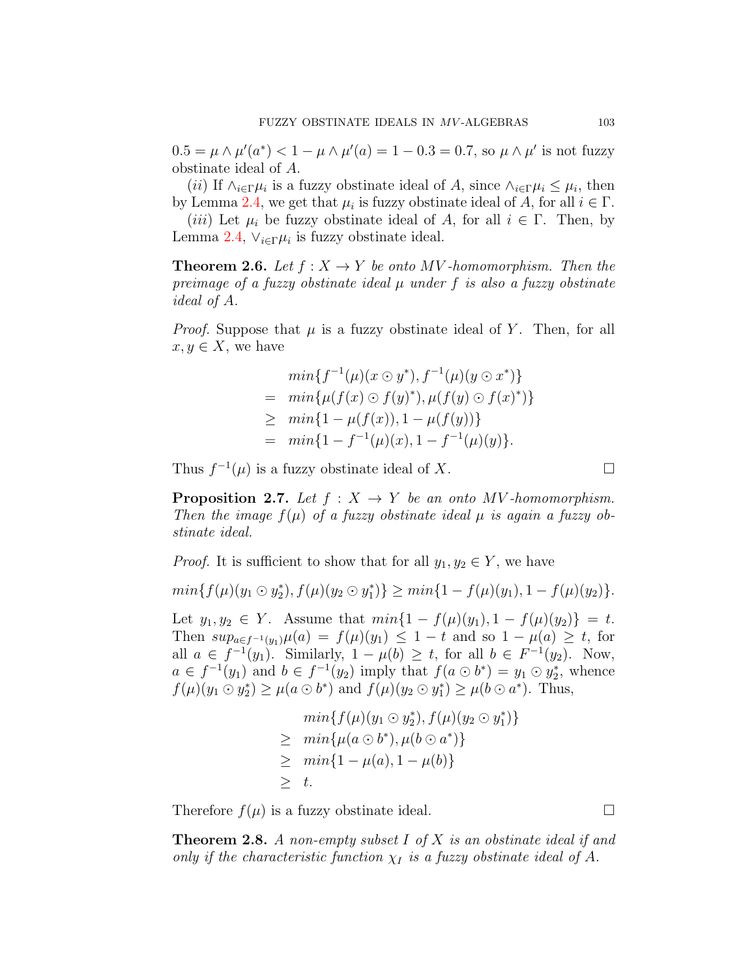$0.5 = \mu \wedge \mu'(a^*) < 1 - \mu \wedge \mu'(a) = 1 - 0.3 = 0.7$ , so  $\mu \wedge \mu'$  is not fuzzy obstinate ideal of *A*.

(*ii*) If  $\wedge_{i \in \Gamma} \mu_i$  is a fuzzy obstinate ideal of *A*, since  $\wedge_{i \in \Gamma} \mu_i \leq \mu_i$ , then by Lemma [2.4,](#page-5-1) we get that  $\mu_i$  is fuzzy obstinate ideal of *A*, for all  $i \in \Gamma$ .

(*iii*) Let  $\mu_i$  be fuzzy obstinate ideal of A, for all  $i \in \Gamma$ . Then, by Lemma [2.4](#page-5-1),  $\vee_{i \in \Gamma} \mu_i$  is fuzzy obstinate ideal.

**Theorem 2.6.** Let  $f: X \to Y$  be onto MV-homomorphism. Then the *preimage of a fuzzy obstinate ideal µ under f is also a fuzzy obstinate ideal of A.*

*Proof.* Suppose that  $\mu$  is a fuzzy obstinate ideal of Y. Then, for all  $x, y \in X$ , we have

$$
min\{f^{-1}(\mu)(x \odot y^*), f^{-1}(\mu)(y \odot x^*)\}
$$
  
= 
$$
min\{\mu(f(x) \odot f(y)^*), \mu(f(y) \odot f(x)^*)\}
$$
  

$$
\geq min\{1 - \mu(f(x)), 1 - \mu(f(y))\}
$$
  
= 
$$
min\{1 - f^{-1}(\mu)(x), 1 - f^{-1}(\mu)(y)\}.
$$

Thus  $f^{-1}(\mu)$  is a fuzzy obstinate ideal of *X*. □

**Proposition 2.7.** *Let*  $f: X \rightarrow Y$  *be an onto MV -homomorphism. Then the image*  $f(\mu)$  *of a fuzzy obstinate ideal*  $\mu$  *is again a fuzzy obstinate ideal.*

*Proof.* It is sufficient to show that for all  $y_1, y_2 \in Y$ , we have

$$
min{f(\mu)(y_1 \odot y_2^*)}, f(\mu)(y_2 \odot y_1^*)\geq min{1 - f(\mu)(y_1)}, 1 - f(\mu)(y_2)\}.
$$

Let  $y_1, y_2 \in Y$ . Assume that  $min\{1 - f(\mu)(y_1), 1 - f(\mu)(y_2)\} = t$ . Then  $sup_{a \in f^{-1}(y_1)} \mu(a) = f(\mu)(y_1) \leq 1 - t$  and so  $1 - \mu(a) \geq t$ , for all *a* ∈  $f^{-1}(y_1)$ . Similarly,  $1 - \mu(b) \ge t$ , for all  $b \in F^{-1}(y_2)$ . Now,  $a \in f^{-1}(y_1)$  and  $b \in f^{-1}(y_2)$  imply that  $f(a \odot b^*) = y_1 \odot y_2^*$ , whence  $f(\mu)(y_1 \odot y_2^*) \ge \mu(a \odot b^*)$  and  $f(\mu)(y_2 \odot y_1^*) \ge \mu(b \odot a^*)$ . Thus,

$$
min{f(\mu)(y_1 \odot y_2^*), f(\mu)(y_2 \odot y_1^*)}
$$
  
\n
$$
\geq min{\mu(a \odot b^*), \mu(b \odot a^*)}
$$
  
\n
$$
\geq min{1 - \mu(a), 1 - \mu(b)}
$$
  
\n
$$
\geq t.
$$

Therefore  $f(\mu)$  is a fuzzy obstinate ideal.  $\Box$ 

**Theorem 2.8.** *A non-empty subset I of X is an obstinate ideal if and only if the characteristic function*  $\chi_I$  *is a fuzzy obstinate ideal of A.*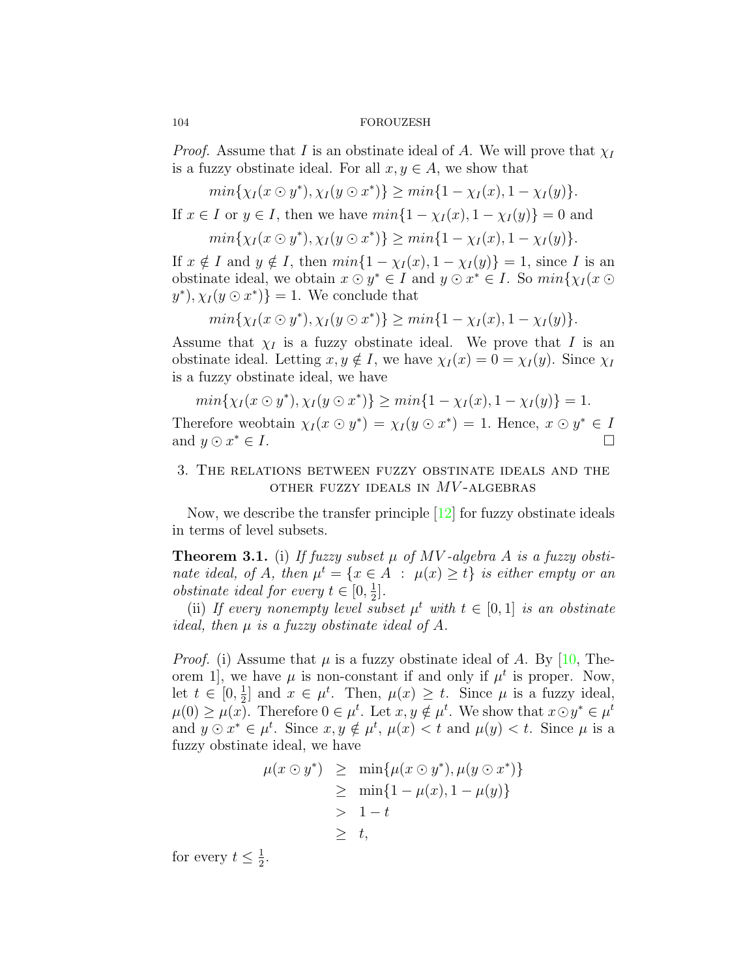*Proof.* Assume that *I* is an obstinate ideal of *A*. We will prove that  $\chi_I$ is a fuzzy obstinate ideal. For all  $x, y \in A$ , we show that

$$
min{\chi_I(x \odot y^*)}, \chi_I(y \odot x^*)\} \geq min{1 - \chi_I(x), 1 - \chi_I(y)}.
$$

If  $x \in I$  or  $y \in I$ , then we have  $min\{1 - \chi_I(x), 1 - \chi_I(y)\} = 0$  and

$$
min{\chi_I(x \odot y^*)}, \chi_I(y \odot x^*)\} \geq min{1 - \chi_I(x), 1 - \chi_I(y)}.
$$

If  $x \notin I$  and  $y \notin I$ , then  $min\{1 - \chi_I(x), 1 - \chi_I(y)\} = 1$ , since *I* is an obstinate ideal, we obtain  $x \odot y^* \in I$  and  $y \odot x^* \in I$ . So  $min\{\chi_I(x \odot a)$  $y^*$ ,  $\chi_I(y \odot x^*)$ } = 1. We conclude that

$$
min{\chi_I(x \odot y^*)}, \chi_I(y \odot x^*)\geq min{1 - \chi_I(x), 1 - \chi_I(y)}.
$$

Assume that  $\chi_I$  is a fuzzy obstinate ideal. We prove that *I* is an obstinate ideal. Letting  $x, y \notin I$ , we have  $\chi_I(x) = 0 = \chi_I(y)$ . Since  $\chi_I$ is a fuzzy obstinate ideal, we have

$$
min{\chi_I(x \odot y^*), \chi_I(y \odot x^*)} \geq min{1 - \chi_I(x), 1 - \chi_I(y)} = 1.
$$

Therefore we<br>obtain  $\chi_I(x \odot y^*) = \chi_I(y \odot x^*) = 1$ . Hence,  $x \odot y^* \in I$ and  $y \odot x^* \in I$ . *<sup>∗</sup> ∈ I*. □

# 3. The relations between fuzzy obstinate ideals and the other fuzzy ideals in *MV* -algebras

Now, we describe the transfer principle [\[12](#page-13-10)] for fuzzy obstinate ideals in terms of level subsets.

**Theorem 3.1.** (i) If fuzzy subset  $\mu$  of MV-algebra A is a fuzzy obsti*nate ideal, of A, then*  $\mu^t = \{x \in A : \mu(x) \ge t\}$  *is either empty or an obstinate ideal for every*  $t \in [0, \frac{1}{2}]$  $\frac{1}{2}$ .

(ii) If every nonempty level subset  $\mu^t$  with  $t \in [0,1]$  is an obstinate *ideal, then µ is a fuzzy obstinate ideal of A.*

*Proof.* (i) Assume that  $\mu$  is a fuzzy obstinate ideal of *A*. By [\[10,](#page-13-12) Theorem 1, we have  $\mu$  is non-constant if and only if  $\mu^t$  is proper. Now, let  $t \in [0, \frac{1}{2}]$  $\frac{1}{2}$  and  $x \in \mu^t$ . Then,  $\mu(x) \geq t$ . Since  $\mu$  is a fuzzy ideal,  $\mu(0) \geq \mu(x)$ . Therefore  $0 \in \mu^t$ . Let  $x, y \notin \mu^t$ . We show that  $x \odot y^* \in \mu^t$ and  $y \odot x^* \in \mu^t$ . Since  $x, y \notin \mu^t$ ,  $\mu(x) < t$  and  $\mu(y) < t$ . Since  $\mu$  is a fuzzy obstinate ideal, we have

$$
\mu(x \odot y^*) \geq \min{\mu(x \odot y^*), \mu(y \odot x^*)}
$$
  
\n
$$
\geq \min{1 - \mu(x), 1 - \mu(y)}
$$
  
\n
$$
> 1 - t
$$
  
\n
$$
\geq t,
$$

for every  $t \leq \frac{1}{2}$  $\frac{1}{2}$ .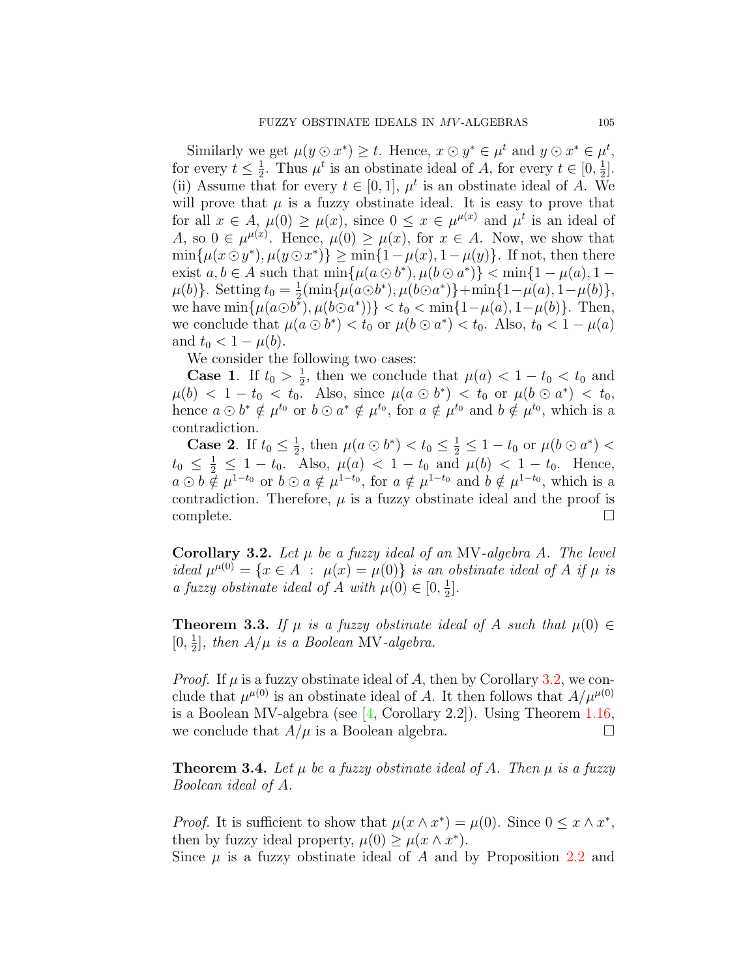Similarly we get  $\mu(y \odot x^*) \geq t$ . Hence,  $x \odot y^* \in \mu^t$  and  $y \odot x^* \in \mu^t$ , for every  $t \leq \frac{1}{2}$  $\frac{1}{2}$ . Thus  $\mu^t$  is an obstinate ideal of *A*, for every  $t \in [0, \frac{1}{2}]$  $\frac{1}{2}$ . (ii) Assume that for every  $t \in [0,1]$ ,  $\mu^t$  is an obstinate ideal of *A*. We will prove that  $\mu$  is a fuzzy obstinate ideal. It is easy to prove that for all  $x \in A$ ,  $\mu(0) \ge \mu(x)$ , since  $0 \le x \in \mu^{\mu(x)}$  and  $\mu^t$  is an ideal of A, so  $0 \in \mu^{\mu(x)}$ . Hence,  $\mu(0) \geq \mu(x)$ , for  $x \in A$ . Now, we show that  $\min\{\mu(x \odot y^*), \mu(y \odot x^*)\} \geq \min\{1 - \mu(x), 1 - \mu(y)\}.$  If not, then there exist  $a, b \in A$  such that  $\min\{\mu(a \odot b^*), \mu(b \odot a^*)\} < \min\{1 - \mu(a), 1 - \mu(b)\}$  $\mu(b)$ . Setting  $t_0 = \frac{1}{2}$  $\frac{1}{2}$ (min{ $\mu(a \odot b^*)$ ,  $\mu(b \odot a^*)$ }+min{ $1-\mu(a)$ ,  $1-\mu(b)$ }, we have  $\min{\{\mu(a\odot b^*)}, \mu(b\odot a^*)\}} < t_0 < \min{\{1-\mu(a), 1-\mu(b)\}}$ . Then, we conclude that  $\mu(a \odot b^*) < t_0$  or  $\mu(b \odot a^*) < t_0$ . Also,  $t_0 < 1 - \mu(a)$ and  $t_0 < 1 - \mu(b)$ .

We consider the following two cases:

**Case 1.** If  $t_0 > \frac{1}{2}$  $\frac{1}{2}$ , then we conclude that  $\mu(a) < 1 - t_0 < t_0$  and  $\mu(b) < 1 - t_0 < t_0$ . Also, since  $\mu(a \odot b^*) < t_0$  or  $\mu(b \odot a^*) < t_0$ , hence  $a \odot b^* \notin \mu^{t_0}$  or  $b \odot a^* \notin \mu^{t_0}$ , for  $a \notin \mu^{t_0}$  and  $b \notin \mu^{t_0}$ , which is a contradiction.

**Case 2**. If  $t_0 \leq \frac{1}{2}$  $\frac{1}{2}$ , then  $\mu(a \odot b^*) < t_0 \leq \frac{1}{2} \leq 1 - t_0$  or  $\mu(b \odot a^*) <$  $t_0 \leq \frac{1}{2} \leq 1 - t_0$ . Also,  $\mu(a) < 1 - t_0$  and  $\mu(b) < 1 - t_0$ . Hence,  $a \odot b \notin \mu^{1-t_0}$  or  $b \odot a \notin \mu^{1-t_0}$ , for  $a \notin \mu^{1-t_0}$  and  $b \notin \mu^{1-t_0}$ , which is a contradiction. Therefore,  $\mu$  is a fuzzy obstinate ideal and the proof is complete.  $\Box$ 

<span id="page-8-0"></span>**Corollary 3.2.** *Let µ be a fuzzy ideal of an* MV*-algebra A. The level ideal*  $\mu^{\mu(0)} = \{x \in A : \mu(x) = \mu(0)\}$  *is an obstinate ideal of A if*  $\mu$  *is a fuzzy obstinate ideal of A with*  $\mu(0) \in [0, \frac{1}{2}]$  $\frac{1}{2}$ .

**Theorem 3.3.** If  $\mu$  is a fuzzy obstinate ideal of A such that  $\mu(0) \in$  $[0, \frac{1}{2}]$  $\frac{1}{2}$ , then  $A/\mu$  is a Boolean MV-algebra.

*Proof.* If  $\mu$  is a fuzzy obstinate ideal of A, then by Corollary [3.2](#page-8-0), we conclude that  $\mu^{\mu(0)}$  is an obstinate ideal of *A*. It then follows that  $A/\mu^{\mu(0)}$ is a Boolean MV-algebra (see[[4](#page-13-4), Corollary 2.2]). Using Theorem [1.16,](#page-4-0) we conclude that  $A/\mu$  is a Boolean algebra.  $\Box$ 

<span id="page-8-1"></span>**Theorem 3.4.** Let  $\mu$  be a fuzzy obstinate ideal of A. Then  $\mu$  is a fuzzy *Boolean ideal of A.*

*Proof.* It is sufficient to show that  $\mu(x \wedge x^*) = \mu(0)$ . Since  $0 \le x \wedge x^*$ , then by fuzzy ideal property,  $\mu(0) \geq \mu(x \wedge x^*)$ .

Since  $\mu$  is a fuzzy obstinate ideal of  $\Lambda$  and by Proposition [2.2](#page-4-1) and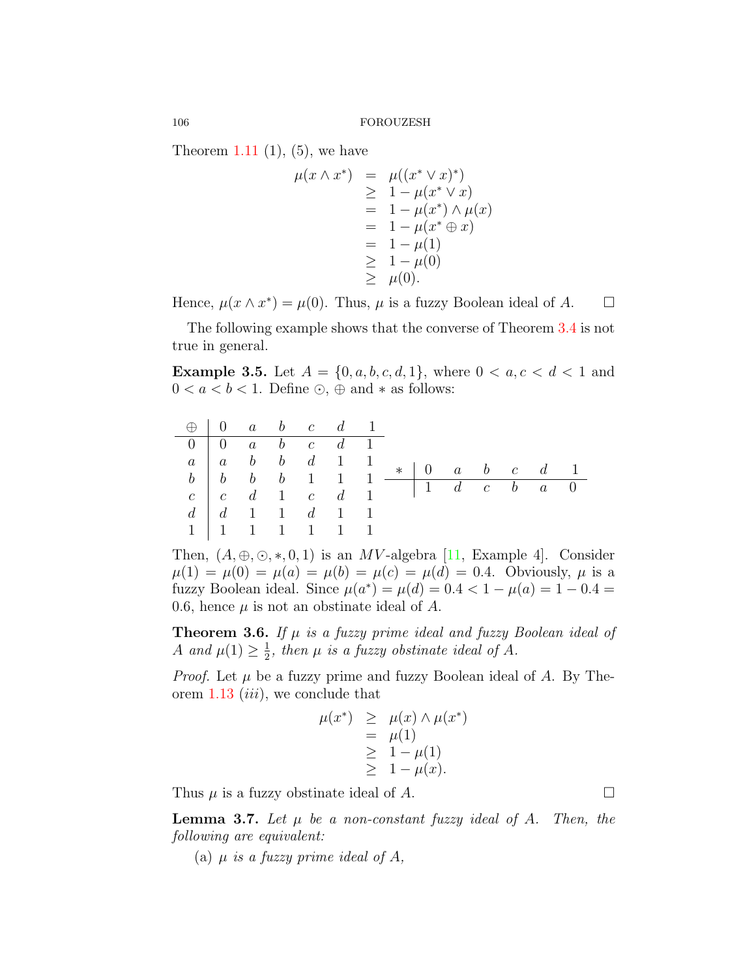Theorem [1.11](#page-3-0)  $(1)$ ,  $(5)$ , we have

$$
\mu(x \wedge x^*) = \mu((x^* \vee x)^*)
$$
  
\n
$$
\geq 1 - \mu(x^* \vee x)
$$
  
\n
$$
= 1 - \mu(x^*) \wedge \mu(x)
$$
  
\n
$$
= 1 - \mu(x^* \oplus x)
$$
  
\n
$$
= 1 - \mu(1)
$$
  
\n
$$
\geq 1 - \mu(0)
$$
  
\n
$$
\geq \mu(0).
$$

Hence,  $\mu(x \wedge x^*) = \mu(0)$ . Thus,  $\mu$  is a fuzzy Boolean ideal of *A*.  $\Box$ 

The following example shows that the converse of Theorem [3.4](#page-8-1) is not true in general.

**Example 3.5.** Let  $A = \{0, a, b, c, d, 1\}$ , where  $0 < a, c < d < 1$  and 0 < *a* < *b* < 1. Define ⊙, ⊕ and  $*$  as follows:

| $\bigoplus$ 0 a b c d 1 |  |                                                          |  |  |  |  |  |
|-------------------------|--|----------------------------------------------------------|--|--|--|--|--|
|                         |  | $0 \mid 0 \quad a \quad b \quad c \quad d \quad 1$       |  |  |  |  |  |
|                         |  |                                                          |  |  |  |  |  |
|                         |  |                                                          |  |  |  |  |  |
|                         |  | $c \begin{array}{ccc} c & d & 1 & c & d & 1 \end{array}$ |  |  |  |  |  |
|                         |  | $d \mid d \quad 1 \quad 1 \quad d \quad 1 \quad 1$       |  |  |  |  |  |
|                         |  | $1 \mid 1 \mid 1 \mid 1 \mid 1 \mid 1 \mid 1$            |  |  |  |  |  |

Then, $(A, \oplus, \odot, *, 0, 1)$  is an *MV*-algebra [[11,](#page-13-11) Example 4]. Consider  $\mu(1) = \mu(0) = \mu(a) = \mu(b) = \mu(c) = \mu(d) = 0.4$ . Obviously,  $\mu$  is a fuzzy Boolean ideal. Since  $\mu(a^*) = \mu(d) = 0.4 < 1 - \mu(a) = 1 - 0.4 =$ 0.6, hence  $\mu$  is not an obstinate ideal of  $\Lambda$ .

**Theorem 3.6.** *If µ is a fuzzy prime ideal and fuzzy Boolean ideal of A and*  $\mu(1) \geq \frac{1}{2}$  $\frac{1}{2}$ , then  $\mu$  is a fuzzy obstinate ideal of A.

*Proof.* Let *µ* be a fuzzy prime and fuzzy Boolean ideal of *A*. By Theorem [1.13](#page-3-1) (*iii*), we conclude that

$$
\mu(x^*) \geq \mu(x) \wedge \mu(x^*)
$$
  
=  $\mu(1)$   
 $\geq 1 - \mu(1)$   
 $\geq 1 - \mu(x)$ .

Thus  $\mu$  is a fuzzy obstinate ideal of  $A$ .

<span id="page-9-0"></span>**Lemma 3.7.** Let  $\mu$  be a non-constant fuzzy ideal of A. Then, the *following are equivalent:*

(a)  $\mu$  *is a fuzzy prime ideal of A*,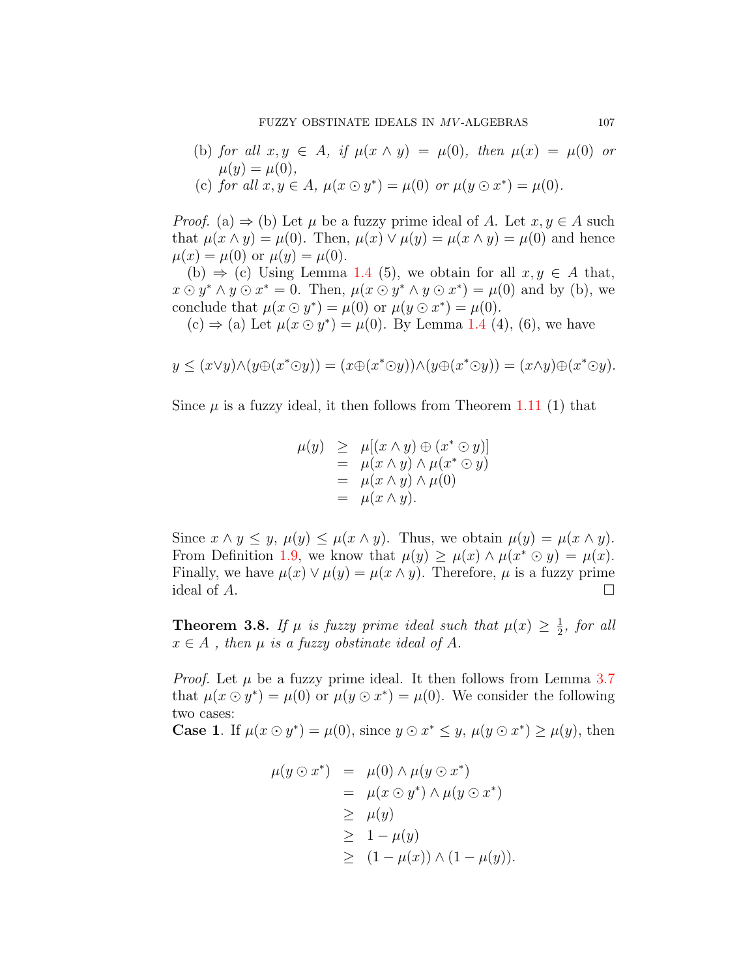(b) *for all*  $x, y \in A$ *, if*  $\mu(x \wedge y) = \mu(0)$ *, then*  $\mu(x) = \mu(0)$  *or*  $\mu(y) = \mu(0),$ (c) *for all*  $x, y \in A$ ,  $\mu(x \odot y^*) = \mu(0)$  *or*  $\mu(y \odot x^*) = \mu(0)$ .

*Proof.* (a)  $\Rightarrow$  (b) Let  $\mu$  be a fuzzy prime ideal of *A*. Let  $x, y \in A$  such that  $\mu(x \wedge y) = \mu(0)$ . Then,  $\mu(x) \vee \mu(y) = \mu(x \wedge y) = \mu(0)$  and hence  $\mu(x) = \mu(0)$  or  $\mu(y) = \mu(0)$ .

(b)  $\Rightarrow$  (c) Using Lemma [1.4](#page-2-0) (5), we obtain for all  $x, y \in A$  that,  $x \odot y^* \wedge y \odot x^* = 0$ . Then,  $\mu(x \odot y^* \wedge y \odot x^*) = \mu(0)$  and by (b), we conclude that  $\mu(x \odot y^*) = \mu(0)$  or  $\mu(y \odot x^*) = \mu(0)$ .

(c)  $\Rightarrow$  (a) Let  $\mu(x \odot y^*) = \mu(0)$ . By Lemma [1.4](#page-2-0) (4), (6), we have

$$
y \le (x \vee y) \wedge (y \oplus (x^* \odot y)) = (x \oplus (x^* \odot y)) \wedge (y \oplus (x^* \odot y)) = (x \wedge y) \oplus (x^* \odot y).
$$

Since  $\mu$  is a fuzzy ideal, it then follows from Theorem [1.11](#page-3-0) (1) that

$$
\begin{array}{rcl}\n\mu(y) & \geq & \mu[(x \land y) \oplus (x^* \odot y)] \\
& = & \mu(x \land y) \land \mu(x^* \odot y) \\
& = & \mu(x \land y) \land \mu(0) \\
& = & \mu(x \land y).\n\end{array}
$$

Since  $x \wedge y \leq y$ ,  $\mu(y) \leq \mu(x \wedge y)$ . Thus, we obtain  $\mu(y) = \mu(x \wedge y)$ . From Definition [1.9](#page-2-2), we know that  $\mu(y) \geq \mu(x) \wedge \mu(x^* \odot y) = \mu(x)$ . Finally, we have  $\mu(x) \vee \mu(y) = \mu(x \wedge y)$ . Therefore,  $\mu$  is a fuzzy prime ideal of  $A$ .  $\Box$ 

<span id="page-10-0"></span>**Theorem 3.8.** If  $\mu$  is fuzzy prime ideal such that  $\mu(x) \geq \frac{1}{2}$  $\frac{1}{2}$ *, for all*  $x \in A$ , then  $\mu$  *is a fuzzy obstinate ideal of*  $A$ *.* 

*Proof.* Let  $\mu$  be a fuzzy prime ideal. It then follows from Lemma [3.7](#page-9-0) that  $\mu(x \odot y^*) = \mu(0)$  or  $\mu(y \odot x^*) = \mu(0)$ . We consider the following two cases:

**Case 1.** If  $\mu(x \odot y^*) = \mu(0)$ , since  $y \odot x^* \leq y$ ,  $\mu(y \odot x^*) \geq \mu(y)$ , then

$$
\begin{array}{rcl}\n\mu(y \odot x^*) & = & \mu(0) \land \mu(y \odot x^*) \\
& = & \mu(x \odot y^*) \land \mu(y \odot x^*) \\
& \geq & \mu(y) \\
& \geq & 1 - \mu(y) \\
& \geq & (1 - \mu(x)) \land (1 - \mu(y)).\n\end{array}
$$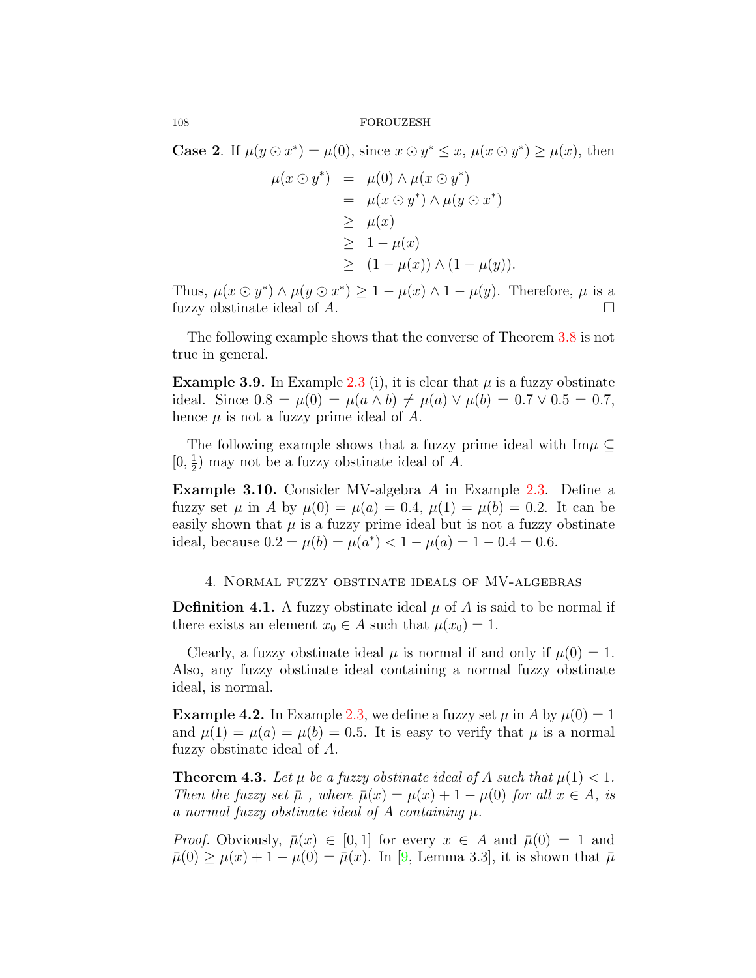**Case 2**. If  $\mu(y \odot x^*) = \mu(0)$ , since  $x \odot y^* \leq x$ ,  $\mu(x \odot y^*) \geq \mu(x)$ , then

$$
\mu(x \odot y^*) = \mu(0) \wedge \mu(x \odot y^*)
$$
  
= 
$$
\mu(x \odot y^*) \wedge \mu(y \odot x^*)
$$
  

$$
\geq \mu(x)
$$
  

$$
\geq 1 - \mu(x)
$$
  

$$
\geq (1 - \mu(x)) \wedge (1 - \mu(y)).
$$

Thus,  $\mu(x \odot y^*) \wedge \mu(y \odot x^*) \geq 1 - \mu(x) \wedge 1 - \mu(y)$ . Therefore,  $\mu$  is a fuzzy obstinate ideal of  $A$ .  $\Box$ 

The following example shows that the converse of Theorem [3.8](#page-10-0) is not true in general.

**Example 3.9.** In Example [2.3](#page-5-0) (i), it is clear that  $\mu$  is a fuzzy obstinate ideal. Since  $0.8 = \mu(0) = \mu(a \wedge b) \neq \mu(a) \vee \mu(b) = 0.7 \vee 0.5 = 0.7$ , hence  $\mu$  is not a fuzzy prime ideal of  $A$ .

The following example shows that a fuzzy prime ideal with Im*µ ⊆*  $[0, \frac{1}{2}]$  $\frac{1}{2}$ ) may not be a fuzzy obstinate ideal of *A*.

**Example 3.10.** Consider MV-algebra *A* in Example [2.3](#page-5-0). Define a fuzzy set  $\mu$  in *A* by  $\mu(0) = \mu(a) = 0.4$ ,  $\mu(1) = \mu(b) = 0.2$ . It can be easily shown that  $\mu$  is a fuzzy prime ideal but is not a fuzzy obstinate ideal, because  $0.2 = \mu(b) = \mu(a^*) < 1 - \mu(a) = 1 - 0.4 = 0.6$ .

## 4. Normal fuzzy obstinate ideals of MV-algebras

**Definition 4.1.** A fuzzy obstinate ideal  $\mu$  of A is said to be normal if there exists an element  $x_0 \in A$  such that  $\mu(x_0) = 1$ .

Clearly, a fuzzy obstinate ideal  $\mu$  is normal if and only if  $\mu(0) = 1$ . Also, any fuzzy obstinate ideal containing a normal fuzzy obstinate ideal, is normal.

**Example 4.2.** In Example [2.3,](#page-5-0) we define a fuzzy set  $\mu$  in A by  $\mu(0) = 1$ and  $\mu(1) = \mu(a) = \mu(b) = 0.5$ . It is easy to verify that  $\mu$  is a normal fuzzy obstinate ideal of *A*.

**Theorem 4.3.** Let  $\mu$  be a fuzzy obstinate ideal of A such that  $\mu(1) < 1$ . *Then the fuzzy set*  $\bar{\mu}$ , where  $\bar{\mu}(x) = \mu(x) + 1 - \mu(0)$  *for all*  $x \in A$ , *is a normal fuzzy obstinate ideal of A containing µ.*

*Proof.* Obviously,  $\bar{\mu}(x) \in [0,1]$  for every  $x \in A$  and  $\bar{\mu}(0) = 1$  and  $\bar{\mu}(0) \geq \mu(x) + 1 - \mu(0) = \bar{\mu}(x)$  $\bar{\mu}(0) \geq \mu(x) + 1 - \mu(0) = \bar{\mu}(x)$  $\bar{\mu}(0) \geq \mu(x) + 1 - \mu(0) = \bar{\mu}(x)$ . In [[9,](#page-13-13) Lemma 3.3], it is shown that  $\bar{\mu}$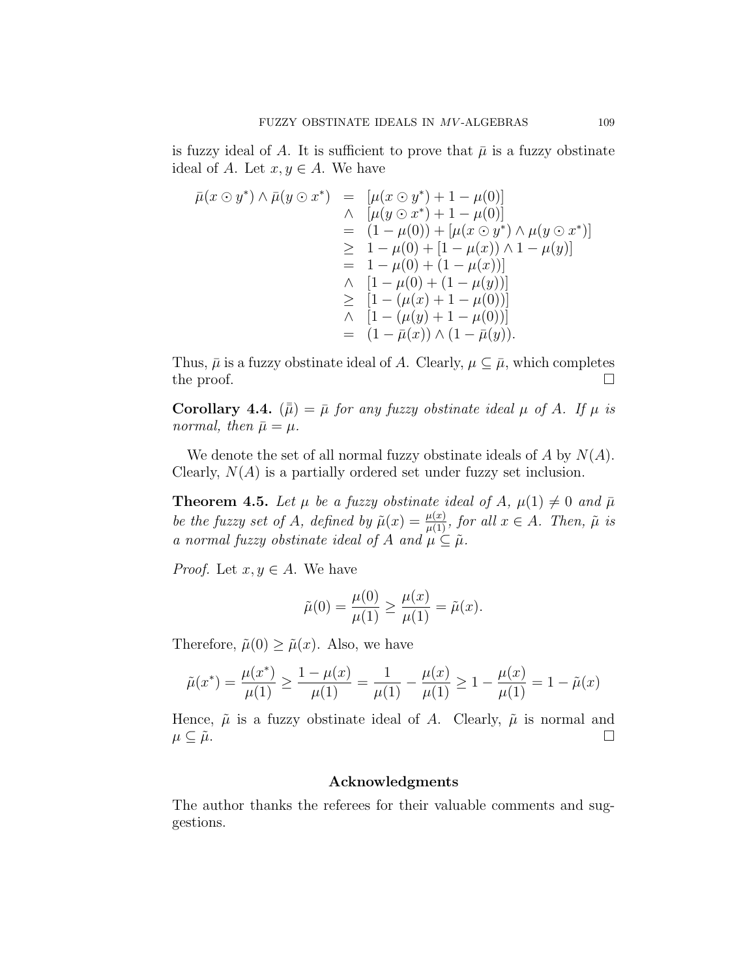is fuzzy ideal of A. It is sufficient to prove that  $\bar{\mu}$  is a fuzzy obstinate ideal of *A*. Let  $x, y \in A$ . We have

$$
\bar{\mu}(x \odot y^*) \wedge \bar{\mu}(y \odot x^*) = [\mu(x \odot y^*) + 1 - \mu(0)] \n\wedge [\mu(y \odot x^*) + 1 - \mu(0)] \n= (1 - \mu(0)) + [\mu(x \odot y^*) \wedge \mu(y \odot x^*)] \n\ge 1 - \mu(0) + [1 - \mu(x)) \wedge 1 - \mu(y)] \n= 1 - \mu(0) + (1 - \mu(x))] \n\wedge [1 - \mu(0) + (1 - \mu(y))] \n\ge [1 - (\mu(x) + 1 - \mu(0))] \n\wedge [1 - (\mu(y) + 1 - \mu(0))] \n= (1 - \bar{\mu}(x)) \wedge (1 - \bar{\mu}(y)).
$$

Thus,  $\bar{\mu}$  is a fuzzy obstinate ideal of *A*. Clearly,  $\mu \subseteq \bar{\mu}$ , which completes the proof.  $\Box$ 

**Corollary 4.4.**  $(\bar{\bar{\mu}}) = \bar{\mu}$  *for any fuzzy obstinate ideal*  $\mu$  *of A. If*  $\mu$  *is normal, then*  $\bar{\mu} = \mu$ *.* 

We denote the set of all normal fuzzy obstinate ideals of *A* by *N*(*A*). Clearly, *N*(*A*) is a partially ordered set under fuzzy set inclusion.

**Theorem 4.5.** Let  $\mu$  be a fuzzy obstinate ideal of A,  $\mu(1) \neq 0$  and  $\bar{\mu}$ *be the fuzzy set of A, defined by*  $\tilde{\mu}(x) = \frac{\mu(x)}{\mu(1)}$ *, for all*  $x \in A$ *. Then,*  $\tilde{\mu}$  *is a* normal fuzzy obstinate ideal of A and  $\mu \subseteq \tilde{\mu}$ .

*Proof.* Let  $x, y \in A$ . We have

$$
\tilde{\mu}(0) = \frac{\mu(0)}{\mu(1)} \ge \frac{\mu(x)}{\mu(1)} = \tilde{\mu}(x).
$$

Therefore,  $\tilde{\mu}(0) \geq \tilde{\mu}(x)$ . Also, we have

$$
\tilde{\mu}(x^*) = \frac{\mu(x^*)}{\mu(1)} \ge \frac{1 - \mu(x)}{\mu(1)} = \frac{1}{\mu(1)} - \frac{\mu(x)}{\mu(1)} \ge 1 - \frac{\mu(x)}{\mu(1)} = 1 - \tilde{\mu}(x)
$$

Hence,  $\tilde{\mu}$  is a fuzzy obstinate ideal of A. Clearly,  $\tilde{\mu}$  is normal and  $\mu \subseteq \tilde{\mu}$ .

## **Acknowledgments**

The author thanks the referees for their valuable comments and suggestions.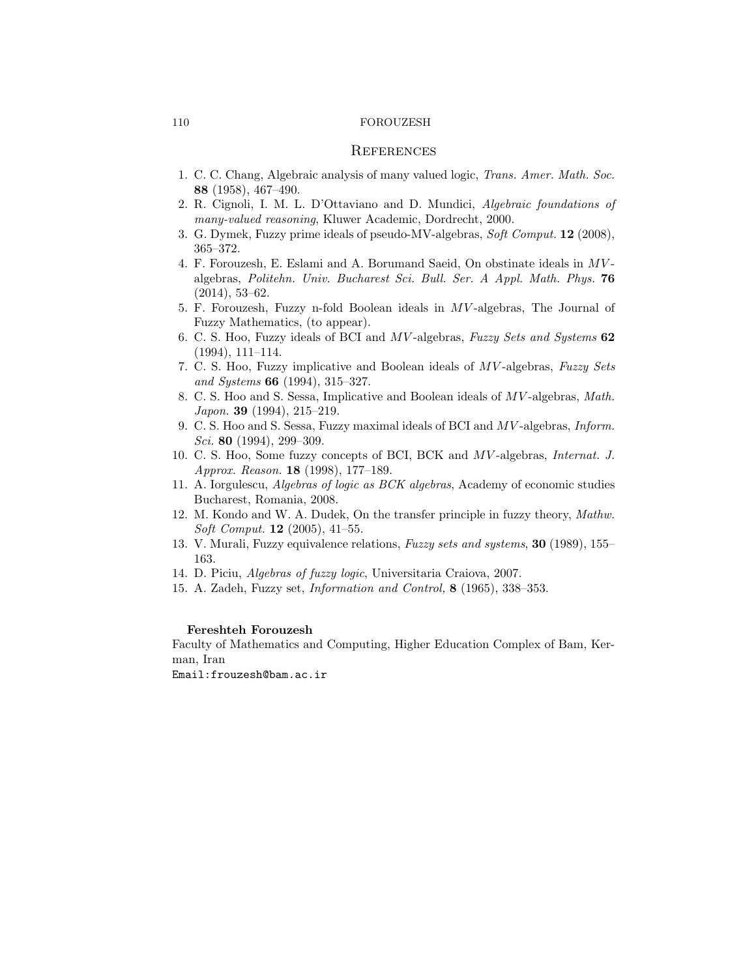#### **REFERENCES**

- <span id="page-13-0"></span>1. C. C. Chang, Algebraic analysis of many valued logic, *Trans. Amer. Math. Soc.* **88** (1958), 467–490.
- <span id="page-13-6"></span>2. R. Cignoli, I. M. L. D'Ottaviano and D. Mundici, *Algebraic foundations of many-valued reasoning*, Kluwer Academic, Dordrecht, 2000.
- <span id="page-13-8"></span>3. G. Dymek, Fuzzy prime ideals of pseudo-MV-algebras, *Soft Comput.* **12** (2008), 365–372.
- <span id="page-13-4"></span>4. F. Forouzesh, E. Eslami and A. Borumand Saeid, On obstinate ideals in *MV* algebras, *Politehn. Univ. Bucharest Sci. Bull. Ser. A Appl. Math. Phys.* **76** (2014), 53–62.
- <span id="page-13-9"></span>5. F. Forouzesh, Fuzzy n-fold Boolean ideals in *MV* -algebras, The Journal of Fuzzy Mathematics, (to appear).
- <span id="page-13-2"></span>6. C. S. Hoo, Fuzzy ideals of BCI and *MV* -algebras, *Fuzzy Sets and Systems* **62** (1994), 111–114.
- <span id="page-13-3"></span>7. C. S. Hoo, Fuzzy implicative and Boolean ideals of *MV* -algebras, *Fuzzy Sets and Systems* **66** (1994), 315–327.
- 8. C. S. Hoo and S. Sessa, Implicative and Boolean ideals of *MV* -algebras, *Math. Japon.* **39** (1994), 215–219.
- <span id="page-13-13"></span>9. C. S. Hoo and S. Sessa, Fuzzy maximal ideals of BCI and *MV* -algebras, *Inform. Sci.* **80** (1994), 299–309.
- <span id="page-13-12"></span>10. C. S. Hoo, Some fuzzy concepts of BCI, BCK and *MV* -algebras, *Internat. J. Approx. Reason.* **18** (1998), 177–189.
- <span id="page-13-11"></span>11. A. Iorgulescu, *Algebras of logic as BCK algebras*, Academy of economic studies Bucharest, Romania, 2008.
- <span id="page-13-10"></span>12. M. Kondo and W. A. Dudek, On the transfer principle in fuzzy theory, *Mathw. Soft Comput.* **12** (2005), 41–55.
- <span id="page-13-5"></span>13. V. Murali, Fuzzy equivalence relations, *Fuzzy sets and systems*, **30** (1989), 155– 163.
- <span id="page-13-7"></span>14. D. Piciu, *Algebras of fuzzy logic*, Universitaria Craiova, 2007.
- <span id="page-13-1"></span>15. A. Zadeh, Fuzzy set, *Information and Control,* **8** (1965), 338–353.

## **Fereshteh Forouzesh**

Faculty of Mathematics and Computing, Higher Education Complex of Bam, Kerman, Iran

Email:frouzesh@bam.ac.ir